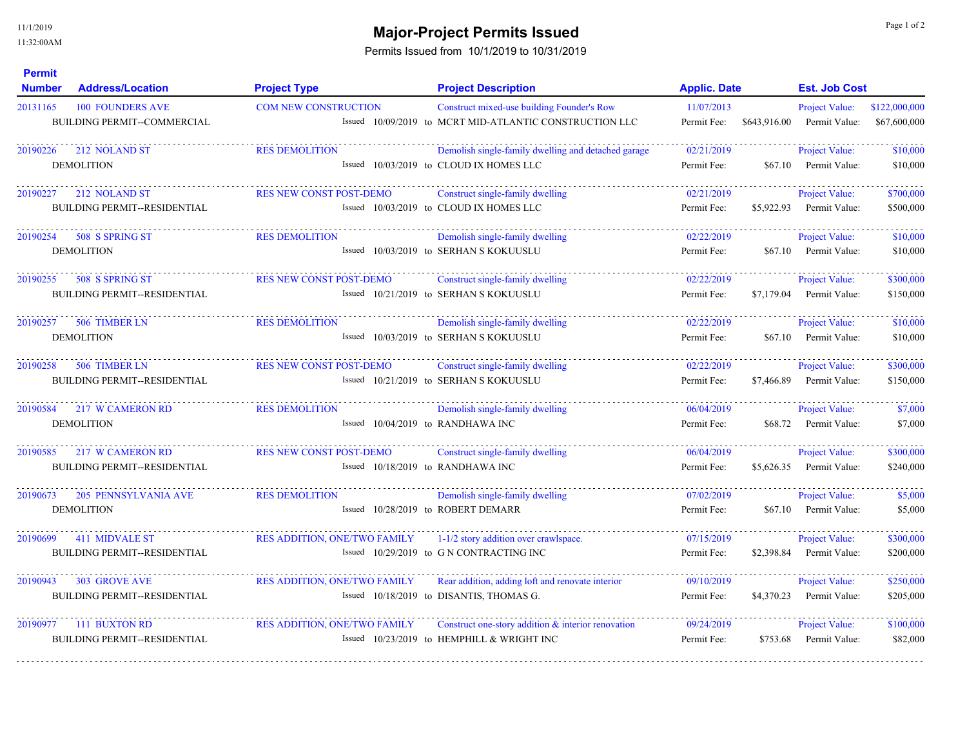11/1/2019 11:32:00AM

## **Major-Project Permits Issued** and the state of 2 and 2 and 2 and 2 and 2 and 2 and 2 and 2 and 2 and 2 and 2 and 2 and 2 and 2 and 2 and 2 and 2 and 2 and 2 and 2 and 2 and 2 and 2 and 2 and 2 and 2 and 2 and 2 and 2 and

Permits Issued from 10/1/2019 to 10/31/2019

| <b>Permit</b><br><b>Number</b> | <b>Address/Location</b>                                       | <b>Project Type</b>                                                 | <b>Project Description</b>                                                                            | <b>Applic. Date</b>       |              | <b>Est. Job Cost</b>                   |                               |
|--------------------------------|---------------------------------------------------------------|---------------------------------------------------------------------|-------------------------------------------------------------------------------------------------------|---------------------------|--------------|----------------------------------------|-------------------------------|
| 20131165                       | <b>100 FOUNDERS AVE</b><br>BUILDING PERMIT--COMMERCIAL        | <b>COM NEW CONSTRUCTION</b>                                         | Construct mixed-use building Founder's Row<br>Issued 10/09/2019 to MCRT MID-ATLANTIC CONSTRUCTION LLC | 11/07/2013<br>Permit Fee: | \$643,916.00 | <b>Project Value:</b><br>Permit Value: | \$122,000,000<br>\$67,600,000 |
| 20190226                       | 212 NOLAND ST<br><b>DEMOLITION</b>                            | <b>RES DEMOLITION</b>                                               | Demolish single-family dwelling and detached garage<br>Issued 10/03/2019 to CLOUD IX HOMES LLC        | 02/21/2019<br>Permit Fee: | \$67.10      | Project Value:<br>Permit Value:        | \$10,000<br>\$10,000          |
| 20190227                       | 212 NOLAND ST<br><b>BUILDING PERMIT--RESIDENTIAL</b>          | RES NEW CONST POST-DEMO                                             | Construct single-family dwelling<br>Issued 10/03/2019 to CLOUD IX HOMES LLC                           | 02/21/2019<br>Permit Fee: | \$5,922.93   | Project Value:<br>Permit Value:        | \$700,000<br>\$500,000        |
| 20190254                       | 508 S SPRING ST<br><b>DEMOLITION</b>                          | <b>RES DEMOLITION</b>                                               | Demolish single-family dwelling<br>Issued 10/03/2019 to SERHAN S KOKUUSLU                             | 02/22/2019<br>Permit Fee: | \$67.10      | Project Value:<br>Permit Value:        | \$10,000<br>\$10,000          |
| 20190255                       | 508 S SPRING ST<br><b>BUILDING PERMIT--RESIDENTIAL</b>        | <b>RES NEW CONST POST-DEMO</b>                                      | Construct single-family dwelling<br>Issued 10/21/2019 to SERHAN S KOKUUSLU                            | 02/22/2019<br>Permit Fee: | \$7,179,04   | <b>Project Value:</b><br>Permit Value: | \$300,000<br>\$150,000        |
| 20190257                       | 506 TIMBER LN<br><b>DEMOLITION</b>                            | <b>RES DEMOLITION</b>                                               | Demolish single-family dwelling<br>Issued 10/03/2019 to SERHAN S KOKUUSLU                             | 02/22/2019<br>Permit Fee: | \$67.10      | Project Value:<br>Permit Value:        | \$10,000<br>\$10,000          |
| 20190258                       | 506 TIMBER LN<br><b>BUILDING PERMIT--RESIDENTIAL</b>          | <b>RES NEW CONST POST-DEMO</b>                                      | Construct single-family dwelling<br>Issued 10/21/2019 to SERHAN S KOKUUSLU                            | 02/22/2019<br>Permit Fee: | \$7,466.89   | Project Value:<br>Permit Value:        | \$300,000<br>\$150,000        |
| 20190584                       | 217 W CAMERON RD<br><b>DEMOLITION</b>                         | <b>RES DEMOLITION</b><br>Issued 10/04/2019 to RANDHAWA INC          | Demolish single-family dwelling                                                                       | 06/04/2019<br>Permit Fee: | \$68.72      | Project Value:<br>Permit Value:        | \$7,000<br>\$7,000            |
| 20190585                       | 217 W CAMERON RD<br>BUILDING PERMIT--RESIDENTIAL              | <b>RES NEW CONST POST-DEMO</b><br>Issued 10/18/2019 to RANDHAWA INC | Construct single-family dwelling                                                                      | 06/04/2019<br>Permit Fee: | \$5,626.35   | <b>Project Value:</b><br>Permit Value: | \$300,000<br>\$240,000        |
| 20190673                       | <b>205 PENNSYLVANIA AVE</b><br><b>DEMOLITION</b>              | <b>RES DEMOLITION</b>                                               | Demolish single-family dwelling<br>Issued 10/28/2019 to ROBERT DEMARR                                 | 07/02/2019<br>Permit Fee: | \$67.10      | Project Value:<br>Permit Value:        | \$5,000<br>\$5,000            |
| 20190699                       | 411 MIDVALE ST<br><b>BUILDING PERMIT--RESIDENTIAL</b>         | <b>RES ADDITION, ONE/TWO FAMILY</b>                                 | 1-1/2 story addition over crawlspace.<br>Issued 10/29/2019 to G N CONTRACTING INC                     | 07/15/2019<br>Permit Fee: | \$2,398.84   | Project Value:<br>Permit Value:        | \$300,000<br>\$200,000        |
| 20190943                       | <b>303 GROVE AVE</b><br><b>BUILDING PERMIT--RESIDENTIAL</b>   | <b>RES ADDITION, ONE/TWO FAMILY</b>                                 | Rear addition, adding loft and renovate interior<br>Issued 10/18/2019 to DISANTIS, THOMAS G.          | 09/10/2019<br>Permit Fee: | \$4,370.23   | Project Value:<br>Permit Value:        | \$250,000<br>\$205,000        |
|                                | 20190977 111 BUXTON RD<br><b>BUILDING PERMIT--RESIDENTIAL</b> | <b>RES ADDITION, ONE/TWO FAMILY</b>                                 | Construct one-story addition $\&$ interior renovation<br>Issued 10/23/2019 to HEMPHILL & WRIGHT INC   | 09/24/2019<br>Permit Fee: | \$753.68     | Project Value:<br>Permit Value:        | \$100,000<br>\$82,000         |